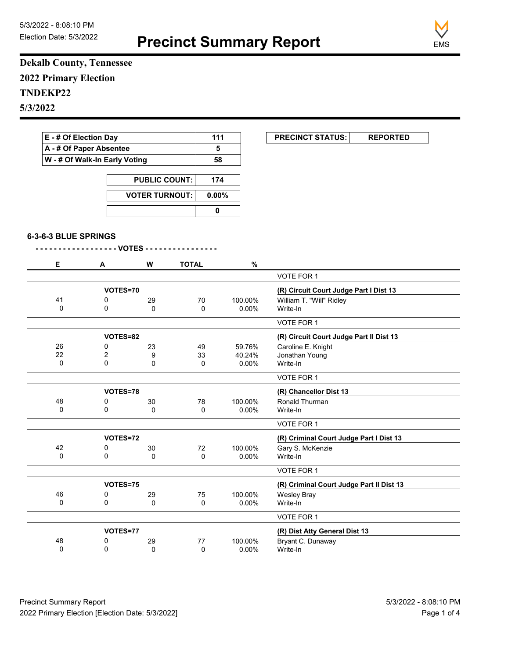**Precinct Summary Report**



**Dekalb County, Tennessee 2022 Primary Election TNDEKP22 5/3/2022**

| A - # Of Paper Absentee       |                         |                       | 5            |                     |                                         |  |
|-------------------------------|-------------------------|-----------------------|--------------|---------------------|-----------------------------------------|--|
| W - # Of Walk-In Early Voting |                         |                       |              |                     |                                         |  |
|                               |                         |                       | 174          |                     |                                         |  |
|                               |                         | <b>PUBLIC COUNT:</b>  |              |                     |                                         |  |
|                               |                         | <b>VOTER TURNOUT:</b> |              | 0.00%               |                                         |  |
|                               |                         |                       | $\mathbf 0$  |                     |                                         |  |
|                               | 6-3-6-3 BLUE SPRINGS    |                       |              |                     |                                         |  |
|                               |                         |                       |              |                     |                                         |  |
| Е.                            | A                       | W                     | <b>TOTAL</b> | $\frac{9}{6}$       |                                         |  |
|                               |                         |                       |              |                     | <b>VOTE FOR 1</b>                       |  |
|                               | VOTES=70                |                       |              |                     | (R) Circuit Court Judge Part I Dist 13  |  |
| 41                            | 0                       | 29                    | 70           | 100.00%             | William T. "Will" Ridley                |  |
| $\Omega$                      | $\Omega$                | $\Omega$              | $\Omega$     | $0.00\%$            | Write-In                                |  |
|                               |                         |                       |              |                     | VOTE FOR 1                              |  |
|                               | VOTES=82                |                       |              |                     | (R) Circuit Court Judge Part II Dist 13 |  |
| 26                            | 0                       | 23                    | 49           | 59.76%              | Caroline E. Knight                      |  |
|                               | $\overline{\mathbf{c}}$ | 9                     | 33           | 40.24%              | Jonathan Young                          |  |
| 22                            | $\Omega$                | 0                     | $\mathbf 0$  | 0.00%               | Write-In                                |  |
| 0                             |                         |                       |              |                     |                                         |  |
|                               |                         |                       |              |                     | VOTE FOR 1                              |  |
|                               | VOTES=78                |                       |              |                     | (R) Chancellor Dist 13                  |  |
| 48                            | 0                       |                       |              |                     | Ronald Thurman                          |  |
| 0                             | 0                       | 30<br>0               | 78<br>0      | 100.00%<br>$0.00\%$ | Write-In                                |  |
|                               |                         |                       |              |                     | VOTE FOR 1                              |  |
|                               | VOTES=72                |                       |              |                     | (R) Criminal Court Judge Part I Dist 13 |  |
| 42                            | 0                       | 30                    | 72           | 100.00%             | Gary S. McKenzie                        |  |
| $\pmb{0}$                     | 0                       | 0                     | 0            | $0.00\%$            | Write-In                                |  |

|    | VOTES=75 |    |    |                               | (R) Criminal Court Judge Part II Dist 13 |
|----|----------|----|----|-------------------------------|------------------------------------------|
| 46 |          | 29 | 75 | 100.00%                       | Wesley Bray                              |
| 0  |          |    |    | $0.00\%$                      | Write-In                                 |
|    |          |    |    |                               | VOTE FOR 1                               |
|    | VOTES=77 |    |    | (R) Dist Atty General Dist 13 |                                          |
| 48 |          | 29 | 77 | 100.00%                       | Bryant C. Dunaway                        |
|    |          |    |    | $0.00\%$                      | Write-In                                 |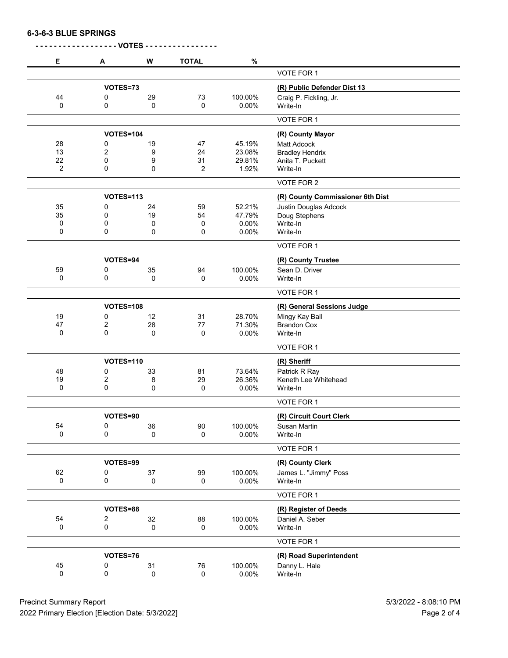**6-3-6-3 BLUE SPRINGS**

| Е  | A                       | W           | <b>TOTAL</b> | $\%$     |                                  |
|----|-------------------------|-------------|--------------|----------|----------------------------------|
|    |                         |             |              |          | VOTE FOR 1                       |
|    | VOTES=73                |             |              |          | (R) Public Defender Dist 13      |
| 44 | 0                       | 29          | 73           | 100.00%  | Craig P. Fickling, Jr.           |
| 0  | 0                       | 0           | 0            | 0.00%    | Write-In                         |
|    |                         |             |              |          | VOTE FOR 1                       |
|    | <b>VOTES=104</b>        |             |              |          | (R) County Mayor                 |
| 28 | 0                       | 19          | 47           | 45.19%   | <b>Matt Adcock</b>               |
| 13 | $\overline{\mathbf{c}}$ | 9           | 24           | 23.08%   | <b>Bradley Hendrix</b>           |
| 22 | 0                       | 9           | 31           | 29.81%   | Anita T. Puckett                 |
| 2  | 0                       | 0           | 2            | 1.92%    | Write-In                         |
|    |                         |             |              |          | VOTE FOR 2                       |
|    | VOTES=113               |             |              |          | (R) County Commissioner 6th Dist |
| 35 | 0                       | 24          | 59           | 52.21%   | <b>Justin Douglas Adcock</b>     |
| 35 | 0                       | 19          | 54           | 47.79%   | Doug Stephens                    |
| 0  | 0                       | 0           | 0            | $0.00\%$ | Write-In                         |
| 0  | 0                       | 0           | 0            | 0.00%    | Write-In                         |
|    |                         |             |              |          | VOTE FOR 1                       |
|    | VOTES=94                |             |              |          | (R) County Trustee               |
| 59 | 0                       | 35          | 94           | 100.00%  | Sean D. Driver                   |
| 0  | 0                       | $\mathbf 0$ | 0            | 0.00%    | Write-In                         |
|    |                         |             |              |          | VOTE FOR 1                       |
|    | <b>VOTES=108</b>        |             |              |          | (R) General Sessions Judge       |
| 19 | 0                       | 12          | 31           | 28.70%   | Mingy Kay Ball                   |
| 47 | 2                       | 28          | 77           | 71.30%   | <b>Brandon Cox</b>               |
| 0  | $\mathbf 0$             | 0           | 0            | 0.00%    | Write-In                         |
|    |                         |             |              |          | VOTE FOR 1                       |
|    | <b>VOTES=110</b>        |             |              |          | (R) Sheriff                      |
| 48 | 0                       | 33          | 81           | 73.64%   | Patrick R Ray                    |
| 19 | 2                       | 8           | 29           | 26.36%   | Keneth Lee Whitehead             |
| 0  | $\mathbf 0$             | 0           | 0            | 0.00%    | Write-In                         |
|    |                         |             |              |          | VOTE FOR 1                       |
|    | VOTES=90                |             |              |          | (R) Circuit Court Clerk          |
| 54 | 0                       | 36          | $90\,$       | 100.00%  | Susan Martin                     |
| 0  | 0                       | 0           | 0            | $0.00\%$ | Write-In                         |
|    |                         |             |              |          | VOTE FOR 1                       |
|    | VOTES=99                |             |              |          | (R) County Clerk                 |
| 62 | 0                       | 37          | 99           | 100.00%  | James L. "Jimmy" Poss            |
| 0  | 0                       | 0           | 0            | $0.00\%$ | Write-In                         |
|    |                         |             |              |          | VOTE FOR 1                       |
|    | VOTES=88                |             |              |          | (R) Register of Deeds            |
| 54 | 2                       | 32          | 88           | 100.00%  | Daniel A. Seber                  |
| 0  | 0                       | 0           | 0            | $0.00\%$ | Write-In                         |
|    |                         |             |              |          | VOTE FOR 1                       |
|    | VOTES=76                |             |              |          | (R) Road Superintendent          |
| 45 | 0                       | 31          | 76           | 100.00%  | Danny L. Hale                    |
| 0  | 0                       | 0           | $\pmb{0}$    | $0.00\%$ | Write-In                         |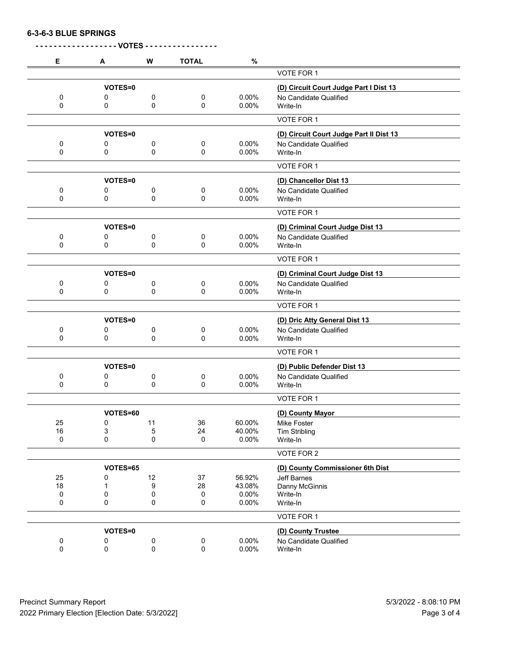**6-3-6-3 BLUE SPRINGS**

| Е      | A              | W  | <b>TOTAL</b>        | $\%$     |                                         |
|--------|----------------|----|---------------------|----------|-----------------------------------------|
|        |                |    |                     |          | VOTE FOR 1                              |
|        | VOTES=0        |    |                     |          | (D) Circuit Court Judge Part I Dist 13  |
| 0      | 0              | 0  | 0                   | 0.00%    | No Candidate Qualified                  |
| 0      | 0              | 0  | 0                   | 0.00%    | Write-In                                |
|        |                |    |                     |          | VOTE FOR 1                              |
|        | VOTES=0        |    |                     |          | (D) Circuit Court Judge Part II Dist 13 |
| 0<br>0 | 0              | 0  | 0                   | 0.00%    | No Candidate Qualified                  |
|        | 0              | 0  | 0                   | 0.00%    | Write-In                                |
|        |                |    |                     |          | VOTE FOR 1                              |
|        | VOTES=0        |    |                     |          | (D) Chancellor Dist 13                  |
| 0      | 0              | 0  | 0                   | 0.00%    | No Candidate Qualified                  |
| 0      | 0              | 0  | 0                   | 0.00%    | Write-In                                |
|        |                |    |                     |          | VOTE FOR 1                              |
|        | VOTES=0        |    |                     |          | (D) Criminal Court Judge Dist 13        |
| 0      | 0              | 0  | 0                   | 0.00%    | No Candidate Qualified                  |
| 0      | 0              | 0  | $\mathbf 0$         | 0.00%    | Write-In                                |
|        |                |    |                     |          | VOTE FOR 1                              |
|        | VOTES=0        |    |                     |          | (D) Criminal Court Judge Dist 13        |
| 0      | 0              | 0  | 0                   | 0.00%    | No Candidate Qualified                  |
| 0      | 0              | 0  | 0                   | 0.00%    | Write-In                                |
|        |                |    |                     |          | VOTE FOR 1                              |
|        | VOTES=0        |    |                     |          | (D) Dric Atty General Dist 13           |
| 0      | 0              | 0  | 0                   | 0.00%    | No Candidate Qualified                  |
| 0      | 0              | 0  | 0                   | 0.00%    | Write-In                                |
|        |                |    |                     |          | VOTE FOR 1                              |
|        | <b>VOTES=0</b> |    |                     |          | (D) Public Defender Dist 13             |
| 0      | 0              | 0  | 0                   | 0.00%    | No Candidate Qualified                  |
| 0      | 0              | 0  | 0                   | 0.00%    | Write-In                                |
|        |                |    |                     |          | VOTE FOR 1                              |
|        | VOTES=60       |    |                     |          | (D) County Mayor                        |
| 25     | $\pmb{0}$      | 11 | 36                  | 60.00%   | Mike Foster                             |
| 16     | 3              | 5  | 24                  | 40.00%   | <b>Tim Stribling</b>                    |
| 0      | 0              | 0  | $\pmb{0}$           | 0.00%    | Write-In                                |
|        |                |    |                     |          | VOTE FOR 2                              |
|        | VOTES=65       |    |                     |          | (D) County Commissioner 6th Dist        |
| 25     | 0              | 12 | 37                  | 56.92%   | <b>Jeff Barnes</b>                      |
| 18     | 1              | 9  | 28                  | 43.08%   | Danny McGinnis                          |
| 0      | 0              | 0  | 0                   | 0.00%    | Write-In                                |
| 0      | 0              | 0  | 0                   | 0.00%    | Write-In                                |
|        |                |    |                     |          | VOTE FOR 1                              |
|        | VOTES=0        |    |                     |          | (D) County Trustee                      |
| 0      | 0              | 0  | $\pmb{0}$           | 0.00%    | No Candidate Qualified                  |
| 0      | 0              | 0  | $\mathsf{O}\xspace$ | $0.00\%$ | Write-In                                |